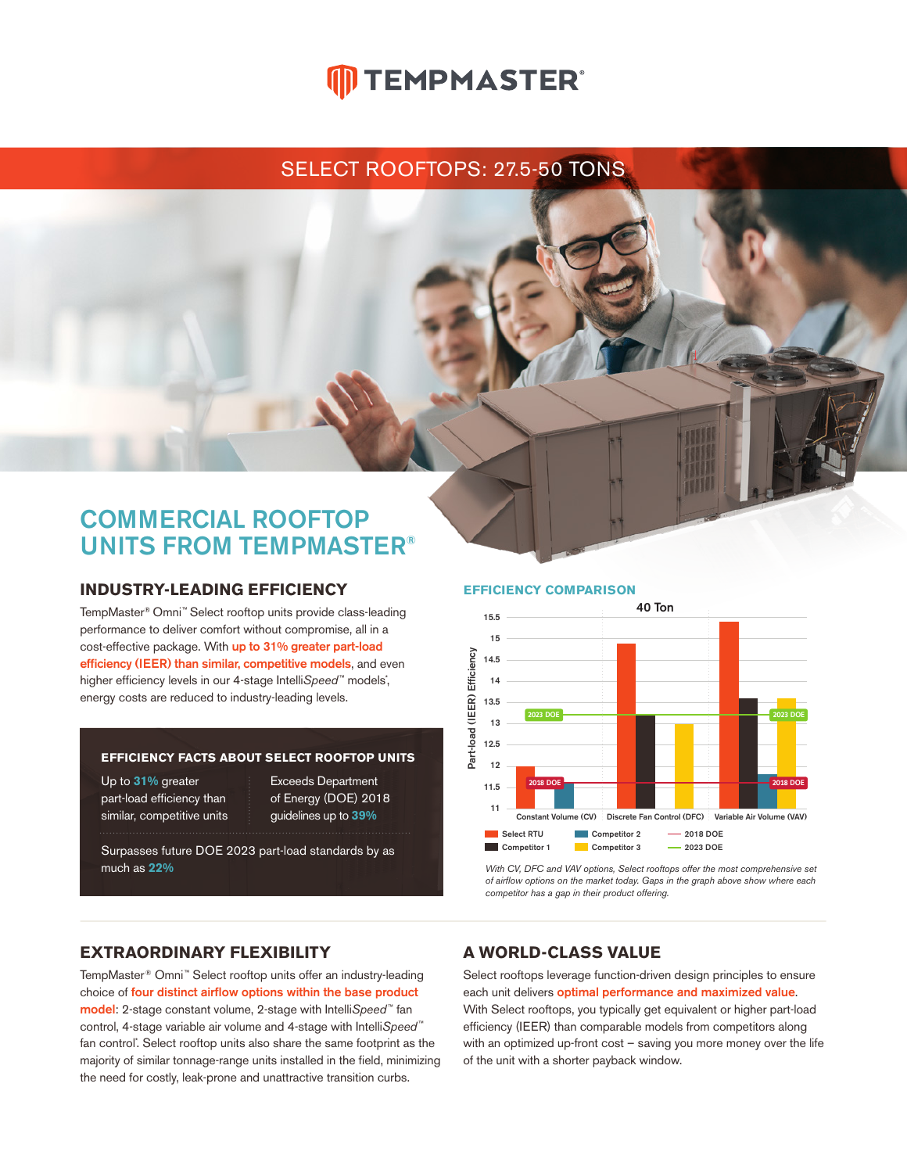# **ID TEMPMASTER**®

## SELECT ROOFTOPS: 27.5-50 TONS

## COMMERCIAL ROOFTOP UNITS FROM TEMPMASTER®

### **INDUSTRY-LEADING EFFICIENCY**

TempMaster® Omni™ Select rooftop units provide class-leading performance to deliver comfort without compromise, all in a cost-effective package. With up to 31% greater part-load efficiency (IEER) than similar, competitive models, and even higher efficiency levels in our 4-stage Intelli*Speed*™ models<sup>\*</sup>, energy costs are reduced to industry-leading levels.

#### **EFFICIENCY FACTS ABOUT SELECT ROOFTOP UNITS**

Up to **31%** greater part-load efficiency than similar, competitive units Exceeds Department of Energy (DOE) 2018 guidelines up to **39%**

Surpasses future DOE 2023 part-load standards by as much as **22%**

#### **EFFICIENCY COMPARISON**



*With CV, DFC and VAV options, Select rooftops offer the most comprehensive set of airflow options on the market today. Gaps in the graph above show where each competitor has a gap in their product offering.* 

## **EXTRAORDINARY FLEXIBILITY**

TempMaster® Omni™ Select rooftop units offer an industry-leading choice of four distinct airflow options within the base product model: 2-stage constant volume, 2-stage with Intelli*Speed* ™fan control, 4-stage variable air volume and 4-stage with Intelli*Speed* ™ fan control<sup>\*</sup>. Select rooftop units also share the same footprint as the majority of similar tonnage-range units installed in the field, minimizing the need for costly, leak-prone and unattractive transition curbs.

### **A WORLD-CLASS VALUE**

Select rooftops leverage function-driven design principles to ensure each unit delivers optimal performance and maximized value. With Select rooftops, you typically get equivalent or higher part-load efficiency (IEER) than comparable models from competitors along with an optimized up-front cost – saving you more money over the life of the unit with a shorter payback window.